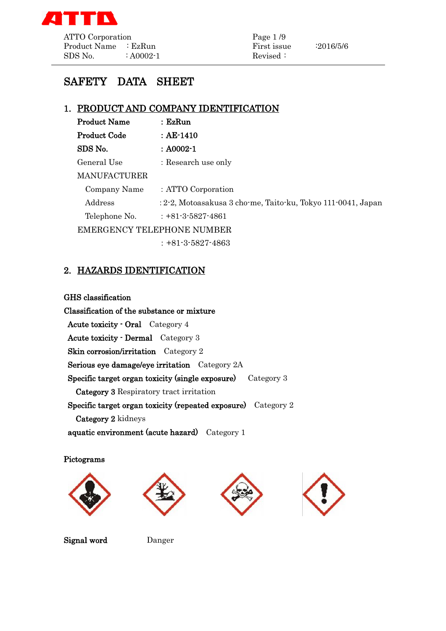

# SAFETY DATA SHEET

# 1. PRODUCT AND COMPANY IDENTIFICATION

| <b>Product Name</b> | $:$ Ez $Run$                                                 |  |  |
|---------------------|--------------------------------------------------------------|--|--|
| Product Code        | $\therefore$ AE-1410                                         |  |  |
| SDS No.             | $: A0002-1$                                                  |  |  |
| General Use         | : Research use only                                          |  |  |
| <b>MANUFACTURER</b> |                                                              |  |  |
| Company Name        | : ATTO Corporation                                           |  |  |
| Address             | : 2-2, Motoasakusa 3 cho-me, Taito-ku, Tokyo 111-0041, Japan |  |  |
| Telephone No.       | $: +81-3-5827-4861$                                          |  |  |
|                     | <b>EMERGENCY TELEPHONE NUMBER</b>                            |  |  |
|                     | $: +81 - 3 - 5827 - 4863$                                    |  |  |

# 2. HAZARDS IDENTIFICATION

#### GHS classification

Classification of the substance or mixture Acute toxicity - Oral Category 4 Acute toxicity - Dermal Category 3 Skin corrosion/irritation Category 2 Serious eye damage/eye irritation Category 2A Specific target organ toxicity (single exposure) Category 3 Category 3 Respiratory tract irritation Specific target organ toxicity (repeated exposure) Category 2 Category 2 kidneys aquatic environment (acute hazard) Category 1

Pictograms









Signal word Danger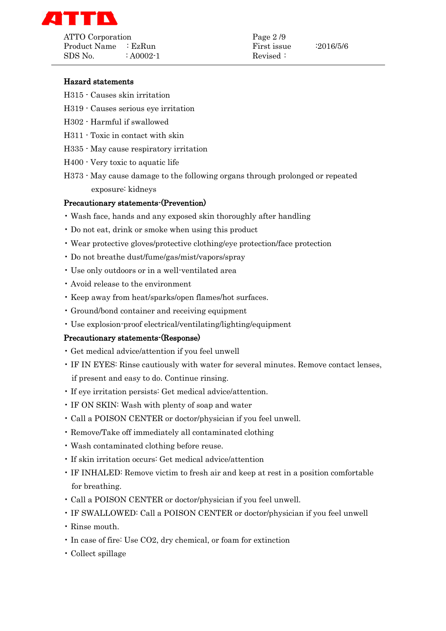

ATTO Corporation Page 2/9 Product Name : EzRun First issue : 2016/5/6  $SDS No$  :  $A0002-1$  Revised :

- H315 Causes skin irritation
- H319 Causes serious eye irritation
- H302 Harmful if swallowed
- H311 Toxic in contact with skin
- H335 May cause respiratory irritation
- H400 Very toxic to aquatic life
- H373 May cause damage to the following organs through prolonged or repeated exposure: kidneys

#### Precautionary statements-(Prevention)

- Wash face, hands and any exposed skin thoroughly after handling
- Do not eat, drink or smoke when using this product
- Wear protective gloves/protective clothing/eye protection/face protection
- Do not breathe dust/fume/gas/mist/vapors/spray
- Use only outdoors or in a well-ventilated area
- Avoid release to the environment
- Keep away from heat/sparks/open flames/hot surfaces.
- Ground/bond container and receiving equipment
- Use explosion-proof electrical/ventilating/lighting/equipment

#### Precautionary statements-(Response)

- Get medical advice/attention if you feel unwell
- IF IN EYES: Rinse cautiously with water for several minutes. Remove contact lenses, if present and easy to do. Continue rinsing.
- If eye irritation persists: Get medical advice/attention.
- IF ON SKIN: Wash with plenty of soap and water
- Call a POISON CENTER or doctor/physician if you feel unwell.
- Remove/Take off immediately all contaminated clothing
- Wash contaminated clothing before reuse.
- If skin irritation occurs: Get medical advice/attention
- IF INHALED: Remove victim to fresh air and keep at rest in a position comfortable for breathing.
- Call a POISON CENTER or doctor/physician if you feel unwell.
- IF SWALLOWED: Call a POISON CENTER or doctor/physician if you feel unwell
- Rinse mouth.
- In case of fire: Use CO2, dry chemical, or foam for extinction
- Collect spillage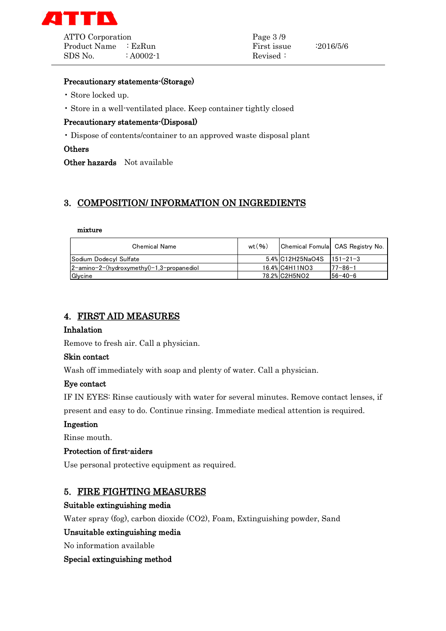

Product Name : EzRun First issue : 2016/5/6  $SDS No.$  :  $A0002-1$  Revised :

### Precautionary statements-(Storage)

- Store locked up.
- Store in a well-ventilated place. Keep container tightly closed

## Precautionary statements-(Disposal)

• Dispose of contents/container to an approved waste disposal plant

#### **Others**

Other hazards Not available

# 3. COMPOSITION/ INFORMATION ON INGREDIENTS

#### mixture

| <b>Chemical Name</b>                                 | wt(96) |                  | Chemical Fomula CAS Registry No. |
|------------------------------------------------------|--------|------------------|----------------------------------|
| Sodium Dodecyl Sulfate                               |        | 5.4% C12H25NaO4S | $1151 - 21 - 3$                  |
| $2$ -amino-2- $(hydroxy$ methyl $)-1,3$ -propanediol |        | 16.4% C4H11NO3   | $77 - 86 - 1$                    |
| Glycine                                              |        | 78.2% C2H5NO2    | 156-40-6                         |

## 4. FIRST AID MEASURES

#### Inhalation

Remove to fresh air. Call a physician.

#### Skin contact

Wash off immediately with soap and plenty of water. Call a physician.

#### Eye contact

IF IN EYES: Rinse cautiously with water for several minutes. Remove contact lenses, if

present and easy to do. Continue rinsing. Immediate medical attention is required.

### Ingestion

Rinse mouth.

#### Protection of first-aiders

Use personal protective equipment as required.

## 5. FIRE FIGHTING MEASURES

#### Suitable extinguishing media

Water spray (fog), carbon dioxide (CO2), Foam, Extinguishing powder, Sand

#### Unsuitable extinguishing media

No information available

## Special extinguishing method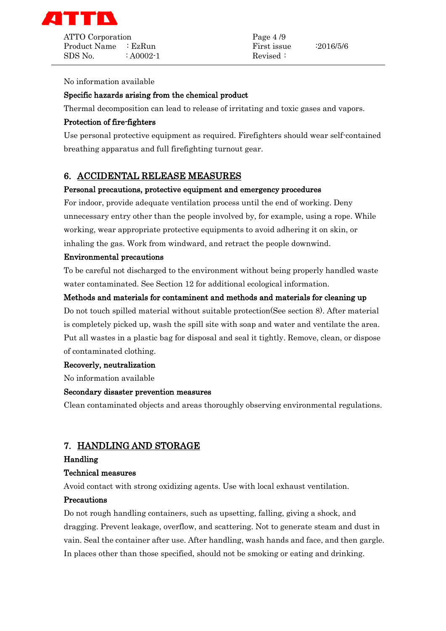

Product Name : EzRun First issue : 2016/5/6  $SDS No.$  :  $A0002-1$  Revised :

#### No information available

## Specific hazards arising from the chemical product

Thermal decomposition can lead to release of irritating and toxic gases and vapors.

## Protection of fire-fighters

Use personal protective equipment as required. Firefighters should wear self-contained breathing apparatus and full firefighting turnout gear.

## 6. ACCIDENTAL RELEASE MEASURES

#### Personal precautions, protective equipment and emergency procedures

For indoor, provide adequate ventilation process until the end of working. Deny unnecessary entry other than the people involved by, for example, using a rope. While working, wear appropriate protective equipments to avoid adhering it on skin, or inhaling the gas. Work from windward, and retract the people downwind.

### Environmental precautions

To be careful not discharged to the environment without being properly handled waste water contaminated. See Section 12 for additional ecological information.

### Methods and materials for contaminent and methods and materials for cleaning up

Do not touch spilled material without suitable protection(See section 8). After material is completely picked up, wash the spill site with soap and water and ventilate the area. Put all wastes in a plastic bag for disposal and seal it tightly. Remove, clean, or dispose of contaminated clothing.

#### Recoverly, neutralization

No information available

# Secondary disaster prevention measures

Clean contaminated objects and areas thoroughly observing environmental regulations.

# 7. HANDLING AND STORAGE

#### Handling

#### Technical measures

Avoid contact with strong oxidizing agents. Use with local exhaust ventilation.

#### Precautions

Do not rough handling containers, such as upsetting, falling, giving a shock, and dragging. Prevent leakage, overflow, and scattering. Not to generate steam and dust in vain. Seal the container after use. After handling, wash hands and face, and then gargle. In places other than those specified, should not be smoking or eating and drinking.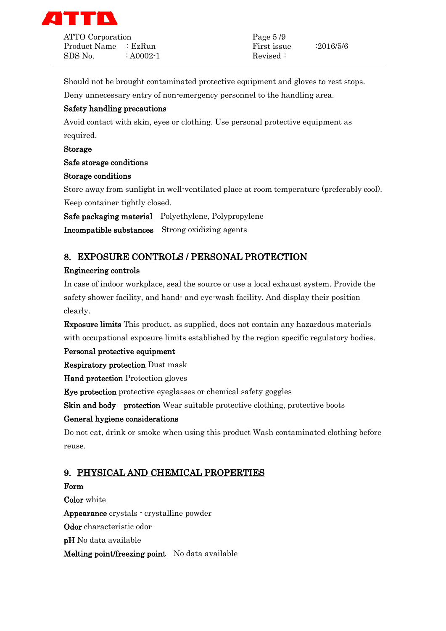

ATTO Corporation Page 5/9 Product Name : EzRun First issue : 2016/5/6  $SDS No$  :  $A0002-1$  Revised :

Should not be brought contaminated protective equipment and gloves to rest stops.

Deny unnecessary entry of non-emergency personnel to the handling area.

## Safety handling precautions

Avoid contact with skin, eyes or clothing. Use personal protective equipment as required.

Storage

## Safe storage conditions

### Storage conditions

Store away from sunlight in well-ventilated place at room temperature (preferably cool). Keep container tightly closed.

Safe packaging material Polyethylene, Polypropylene

Incompatible substances Strong oxidizing agents

# 8. EXPOSURE CONTROLS / PERSONAL PROTECTION

## Engineering controls

In case of indoor workplace, seal the source or use a local exhaust system. Provide the safety shower facility, and hand- and eye-wash facility. And display their position clearly.

Exposure limits This product, as supplied, does not contain any hazardous materials with occupational exposure limits established by the region specific regulatory bodies.

## Personal protective equipment

Respiratory protection Dust mask

Hand protection Protection gloves

Eye protection protective eyeglasses or chemical safety goggles

Skin and body protection Wear suitable protective clothing, protective boots

# General hygiene considerations

Do not eat, drink or smoke when using this product Wash contaminated clothing before reuse.

# 9. PHYSICAL AND CHEMICAL PROPERTIES

## Form

Color white Appearance crystals - crystalline powder Odor characteristic odor pH No data available Melting point/freezing point No data available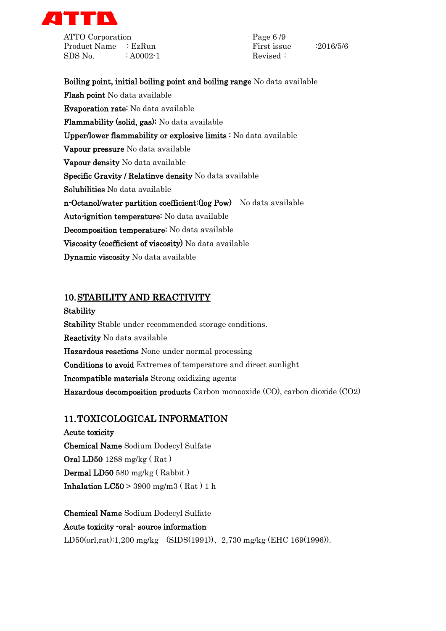

ATTO Corporation Page 6 /9 Product Name : EzRun First issue : 2016/5/6  $SDS No.$  :  $A0002-1$  Revised :

Boiling point, initial boiling point and boiling range No data available Flash point No data available Evaporation rate: No data available Flammability (solid, gas): No data available Upper/lower flammability or explosive limits : No data available Vapour pressure No data available Vapour density No data available Specific Gravity / Relatinve density No data available Solubilities No data available n-Octanol/water partition coefficient:(log Pow) No data available Auto-ignition temperature: No data available Decomposition temperature: No data available Viscosity (coefficient of viscosity) No data available Dynamic viscosity No data available

# 10.STABILITY AND REACTIVITY

Stability Stability Stable under recommended storage conditions. Reactivity No data available Hazardous reactions None under normal processing Conditions to avoid Extremes of temperature and direct sunlight Incompatible materials Strong oxidizing agents Hazardous decomposition products Carbon monooxide (CO), carbon dioxide (CO2)

# 11.TOXICOLOGICAL INFORMATION

Acute toxicity Chemical Name Sodium Dodecyl Sulfate Oral LD50 1288 mg/kg ( Rat ) Dermal LD50 580 mg/kg ( Rabbit ) **Inhalation LC50** > 3900 mg/m3 (Rat ) 1 h

Chemical Name Sodium Dodecyl Sulfate Acute toxicity -oral- source information LD50(orl,rat):1,200 mg/kg (SIDS(1991))、2,730 mg/kg (EHC 169(1996)).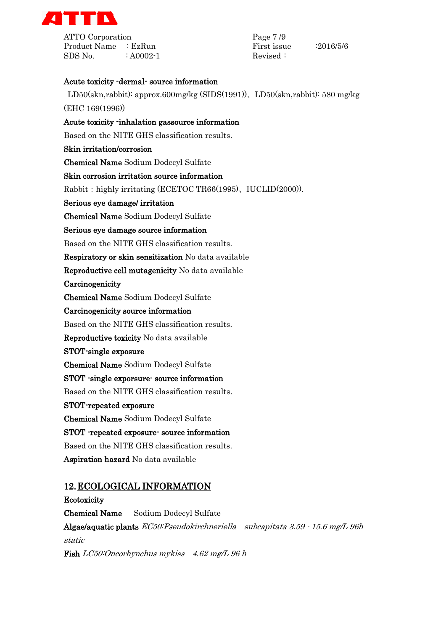

ATTO Corporation Page 7/9 Product Name : EzRun First issue : 2016/5/6  $SDS No.$  :  $A0002-1$  Revised :

### Acute toxicity -dermal- source information

LD50(skn,rabbit): approx.600mg/kg (SIDS(1991))、LD50(skn,rabbit): 580 mg/kg (EHC 169(1996))

## Acute toxicity -inhalation gassource information

Based on the NITE GHS classification results.

## Skin irritation/corrosion

Chemical Name Sodium Dodecyl Sulfate

### Skin corrosion irritation source information

Rabbit: highly irritating (ECETOC TR66(1995), IUCLID(2000)).

Serious eye damage/ irritation

Chemical Name Sodium Dodecyl Sulfate

### Serious eye damage source information

Based on the NITE GHS classification results.

Respiratory or skin sensitization No data available

Reproductive cell mutagenicity No data available

**Carcinogenicity** 

Chemical Name Sodium Dodecyl Sulfate

### Carcinogenicity source information

Based on the NITE GHS classification results.

Reproductive toxicity No data available

#### STOT-single exposure

Chemical Name Sodium Dodecyl Sulfate

#### STOT -single exporsure- source information

Based on the NITE GHS classification results.

## STOT-repeated exposure

Chemical Name Sodium Dodecyl Sulfate

## STOT -repeated exposure- source information

Based on the NITE GHS classification results.

Aspiration hazard No data available

# 12.ECOLOGICAL INFORMATION

Ecotoxicity Chemical Name Sodium Dodecyl Sulfate Algae/aquatic plants  $EC50$ : Pseudokirchneriella subcapitata  $3.59 \cdot 15.6$  mg/L 96h static Fish LC50:Oncorhynchus mykiss 4.62 mg/L 96 h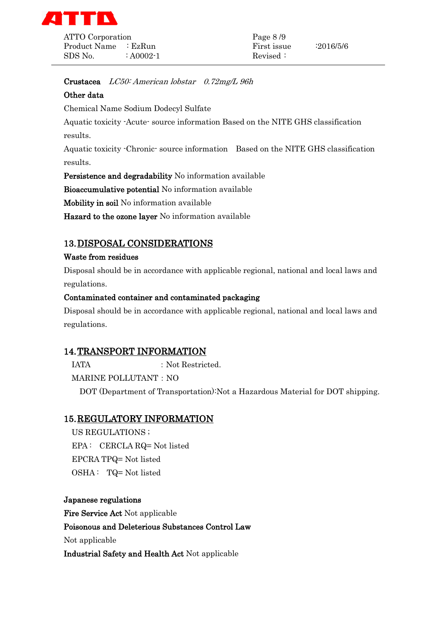

Product Name : EzRun First issue : 2016/5/6 SDS No.  $\therefore$  A0002-1 Revised :

Crustacea LC50: American lobstar 0.72mg/L 96h

# Other data

Chemical Name Sodium Dodecyl Sulfate

Aquatic toxicity -Acute- source information Based on the NITE GHS classification results.

Aquatic toxicity -Chronic- source information Based on the NITE GHS classification results.

Persistence and degradability No information available

Bioaccumulative potential No information available

Mobility in soil No information available

Hazard to the ozone layer No information available

# 13.DISPOSAL CONSIDERATIONS

## Waste from residues

Disposal should be in accordance with applicable regional, national and local laws and regulations.

# Contaminated container and contaminated packaging

Disposal should be in accordance with applicable regional, national and local laws and regulations.

# 14.TRANSPORT INFORMATION

IATA : Not Restricted.

MARINE POLLUTANT: NO

DOT (Department of Transportation):Not a Hazardous Material for DOT shipping.

# 15.REGULATORY INFORMATION

US REGULATIONS ; EPA : CERCLA RQ= Not listed EPCRA TPQ= Not listed OSHA : TQ= Not listed

Japanese regulations Fire Service Act Not applicable Poisonous and Deleterious Substances Control Law Not applicable Industrial Safety and Health Act Not applicable